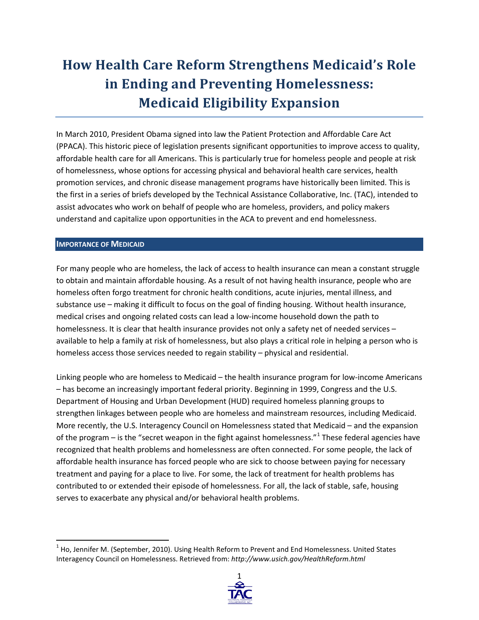# **How Health Care Reform Strengthens Medicaid's Role in Ending and Preventing Homelessness: Medicaid Eligibility Expansion**

In March 2010, President Obama signed into law the Patient Protection and Affordable Care Act (PPACA). This historic piece of legislation presents significant opportunities to improve access to quality, affordable health care for all Americans. This is particularly true for homeless people and people at risk of homelessness, whose options for accessing physical and behavioral health care services, health promotion services, and chronic disease management programs have historically been limited. This is the first in a series of briefs developed by the Technical Assistance Collaborative, Inc. (TAC), intended to assist advocates who work on behalf of people who are homeless, providers, and policy makers understand and capitalize upon opportunities in the ACA to prevent and end homelessness.

### **IMPORTANCE OF MEDICAID**

For many people who are homeless, the lack of access to health insurance can mean a constant struggle to obtain and maintain affordable housing. As a result of not having health insurance, people who are homeless often forgo treatment for chronic health conditions, acute injuries, mental illness, and substance use – making it difficult to focus on the goal of finding housing. Without health insurance, medical crises and ongoing related costs can lead a low-income household down the path to homelessness. It is clear that health insurance provides not only a safety net of needed services available to help a family at risk of homelessness, but also plays a critical role in helping a person who is homeless access those services needed to regain stability – physical and residential.

Linking people who are homeless to Medicaid – the health insurance program for low-income Americans – has become an increasingly important federal priority. Beginning in 1999, Congress and the U.S. Department of Housing and Urban Development (HUD) required homeless planning groups to strengthen linkages between people who are homeless and mainstream resources, including Medicaid. More recently, the U.S. Interagency Council on Homelessness stated that Medicaid – and the expansion of the program – is the "secret weapon in the fight against homelessness." $1$  These federal agencies have recognized that health problems and homelessness are often connected. For some people, the lack of affordable health insurance has forced people who are sick to choose between paying for necessary treatment and paying for a place to live. For some, the lack of treatment for health problems has contributed to or extended their episode of homelessness. For all, the lack of stable, safe, housing serves to exacerbate any physical and/or behavioral health problems.

<span id="page-0-0"></span> $<sup>1</sup>$  Ho, Jennifer M. (September, 2010). Using Health Reform to Prevent and End Homelessness. United States</sup> Interagency Council on Homelessness. Retrieved from: *http://www.usich.gov/HealthReform.html*

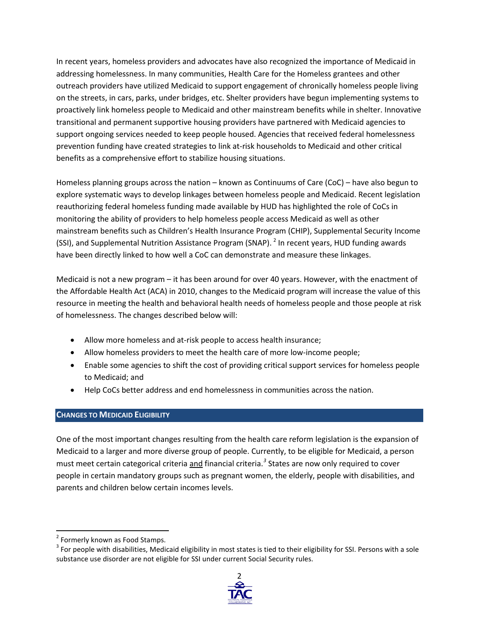In recent years, homeless providers and advocates have also recognized the importance of Medicaid in addressing homelessness. In many communities, Health Care for the Homeless grantees and other outreach providers have utilized Medicaid to support engagement of chronically homeless people living on the streets, in cars, parks, under bridges, etc. Shelter providers have begun implementing systems to proactively link homeless people to Medicaid and other mainstream benefits while in shelter. Innovative transitional and permanent supportive housing providers have partnered with Medicaid agencies to support ongoing services needed to keep people housed. Agencies that received federal homelessness prevention funding have created strategies to link at-risk households to Medicaid and other critical benefits as a comprehensive effort to stabilize housing situations.

Homeless planning groups across the nation – known as Continuums of Care (CoC) – have also begun to explore systematic ways to develop linkages between homeless people and Medicaid. Recent legislation reauthorizing federal homeless funding made available by HUD has highlighted the role of CoCs in monitoring the ability of providers to help homeless people access Medicaid as well as other mainstream benefits such as Children's Health Insurance Program (CHIP), Supplemental Security Income (SSI), and Supplemental Nutrition Assistance Program (SNAP). <sup>[2](#page-1-0)</sup> In recent years, HUD funding awards have been directly linked to how well a CoC can demonstrate and measure these linkages.

Medicaid is not a new program – it has been around for over 40 years. However, with the enactment of the Affordable Health Act (ACA) in 2010, changes to the Medicaid program will increase the value of this resource in meeting the health and behavioral health needs of homeless people and those people at risk of homelessness. The changes described below will:

- Allow more homeless and at-risk people to access health insurance;
- Allow homeless providers to meet the health care of more low-income people;
- Enable some agencies to shift the cost of providing critical support services for homeless people to Medicaid; and
- Help CoCs better address and end homelessness in communities across the nation.

## **CHANGES TO MEDICAID ELIGIBILITY**

One of the most important changes resulting from the health care reform legislation is the expansion of Medicaid to a larger and more diverse group of people. Currently, to be eligible for Medicaid, a person must meet certain categorical criteria and financial criteria.*[3](#page-1-1)* States are now only required to cover people in certain mandatory groups such as pregnant women, the elderly, people with disabilities, and parents and children below certain incomes levels.

<span id="page-1-1"></span> $3$  For people with disabilities, Medicaid eligibility in most states is tied to their eligibility for SSI. Persons with a sole substance use disorder are not eligible for SSI under current Social Security rules.



<span id="page-1-0"></span><sup>&</sup>lt;sup>2</sup> Formerly known as Food Stamps.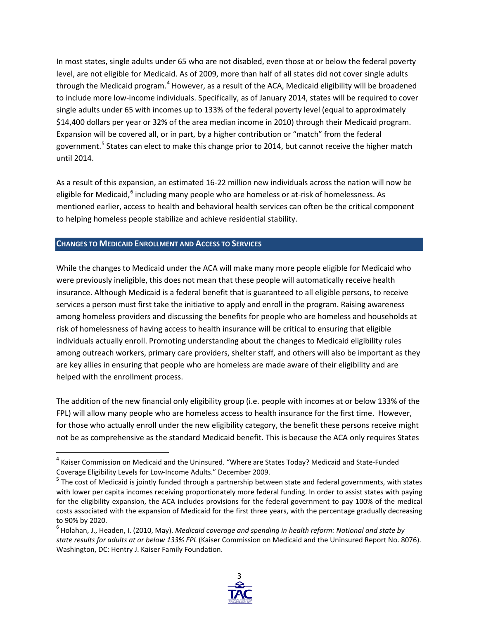In most states, single adults under 65 who are not disabled, even those at or below the federal poverty level, are not eligible for Medicaid. As of 2009, more than half of all states did not cover single adults through the Medicaid program.<sup>[4](#page-2-0)</sup> However, as a result of the ACA, Medicaid eligibility will be broadened to include more low-income individuals. Specifically, as of January 2014, states will be required to cover single adults under 65 with incomes up to 133% of the federal poverty level (equal to approximately \$14,400 dollars per year or 32% of the area median income in 2010) through their Medicaid program. Expansion will be covered all, or in part, by a higher contribution or "match" from the federal government.<sup>[5](#page-2-1)</sup> States can elect to make this change prior to 2014, but cannot receive the higher match until 2014.

As a result of this expansion, an estimated 16-22 million new individuals across the nation will now be eligible for Medicaid, <sup>[6](#page-2-2)</sup> including many people who are homeless or at-risk of homelessness. As mentioned earlier, access to health and behavioral health services can often be the critical component to helping homeless people stabilize and achieve residential stability.

### **CHANGES TO MEDICAID ENROLLMENT AND ACCESS TO SERVICES**

While the changes to Medicaid under the ACA will make many more people eligible for Medicaid who were previously ineligible, this does not mean that these people will automatically receive health insurance. Although Medicaid is a federal benefit that is guaranteed to all eligible persons, to receive services a person must first take the initiative to apply and enroll in the program. Raising awareness among homeless providers and discussing the benefits for people who are homeless and households at risk of homelessness of having access to health insurance will be critical to ensuring that eligible individuals actually enroll. Promoting understanding about the changes to Medicaid eligibility rules among outreach workers, primary care providers, shelter staff, and others will also be important as they are key allies in ensuring that people who are homeless are made aware of their eligibility and are helped with the enrollment process.

The addition of the new financial only eligibility group (i.e. people with incomes at or below 133% of the FPL) will allow many people who are homeless access to health insurance for the first time. However, for those who actually enroll under the new eligibility category, the benefit these persons receive might not be as comprehensive as the standard Medicaid benefit. This is because the ACA only requires States

<span id="page-2-2"></span><sup>6</sup> Holahan, J., Headen, I. (2010, May). *Medicaid coverage and spending in health reform: National and state by state results for adults at or below 133% FPL* (Kaiser Commission on Medicaid and the Uninsured Report No. 8076). Washington, DC: Hentry J. Kaiser Family Foundation.



<span id="page-2-0"></span> $4$  Kaiser Commission on Medicaid and the Uninsured. "Where are States Today? Medicaid and State-Funded Coverage Eligibility Levels for Low-Income Adults." December 2009.

<span id="page-2-1"></span><sup>&</sup>lt;sup>5</sup> The cost of Medicaid is jointly funded through a partnership between state and federal governments, with states with lower per capita incomes receiving proportionately more federal funding. In order to assist states with paying for the eligibility expansion, the ACA includes provisions for the federal government to pay 100% of the medical costs associated with the expansion of Medicaid for the first three years, with the percentage gradually decreasing to 90% by 2020.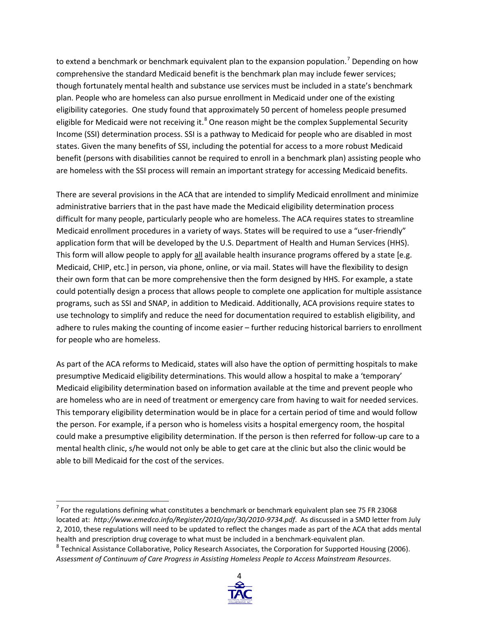to extend a benchmark or benchmark equivalent plan to the expansion population.<sup>[7](#page-3-0)</sup> Depending on how comprehensive the standard Medicaid benefit is the benchmark plan may include fewer services; though fortunately mental health and substance use services must be included in a state's benchmark plan. People who are homeless can also pursue enrollment in Medicaid under one of the existing eligibility categories. One study found that approximately 50 percent of homeless people presumed eligible for Medicaid were not receiving it. $<sup>8</sup>$  $<sup>8</sup>$  $<sup>8</sup>$  One reason might be the complex Supplemental Security</sup> Income (SSI) determination process. SSI is a pathway to Medicaid for people who are disabled in most states. Given the many benefits of SSI, including the potential for access to a more robust Medicaid benefit (persons with disabilities cannot be required to enroll in a benchmark plan) assisting people who are homeless with the SSI process will remain an important strategy for accessing Medicaid benefits.

There are several provisions in the ACA that are intended to simplify Medicaid enrollment and minimize administrative barriers that in the past have made the Medicaid eligibility determination process difficult for many people, particularly people who are homeless. The ACA requires states to streamline Medicaid enrollment procedures in a variety of ways. States will be required to use a "user-friendly" application form that will be developed by the U.S. Department of Health and Human Services (HHS). This form will allow people to apply for all available health insurance programs offered by a state [e.g. Medicaid, CHIP, etc.] in person, via phone, online, or via mail. States will have the flexibility to design their own form that can be more comprehensive then the form designed by HHS. For example, a state could potentially design a process that allows people to complete one application for multiple assistance programs, such as SSI and SNAP, in addition to Medicaid. Additionally, ACA provisions require states to use technology to simplify and reduce the need for documentation required to establish eligibility, and adhere to rules making the counting of income easier – further reducing historical barriers to enrollment for people who are homeless.

As part of the ACA reforms to Medicaid, states will also have the option of permitting hospitals to make presumptive Medicaid eligibility determinations. This would allow a hospital to make a 'temporary' Medicaid eligibility determination based on information available at the time and prevent people who are homeless who are in need of treatment or emergency care from having to wait for needed services. This temporary eligibility determination would be in place for a certain period of time and would follow the person. For example, if a person who is homeless visits a hospital emergency room, the hospital could make a presumptive eligibility determination. If the person is then referred for follow-up care to a mental health clinic, s/he would not only be able to get care at the clinic but also the clinic would be able to bill Medicaid for the cost of the services.

<span id="page-3-1"></span> $8$  Technical Assistance Collaborative, Policy Research Associates, the Corporation for Supported Housing (2006). *Assessment of Continuum of Care Progress in Assisting Homeless People to Access Mainstream Resources*.



<span id="page-3-0"></span> $<sup>7</sup>$  For the regulations defining what constitutes a benchmark or benchmark equivalent plan see 75 FR 23068</sup> located at: *http://www.emedco.info/Register/2010/apr/30/2010-9734.pdf*. As discussed in a SMD letter from July 2, 2010, these regulations will need to be updated to reflect the changes made as part of the ACA that adds mental health and prescription drug coverage to what must be included in a benchmark-equivalent plan.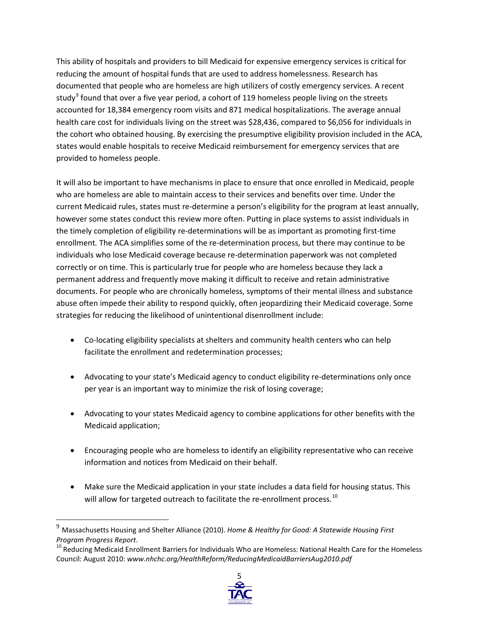This ability of hospitals and providers to bill Medicaid for expensive emergency services is critical for reducing the amount of hospital funds that are used to address homelessness. Research has documented that people who are homeless are high utilizers of costly emergency services. A recent study<sup>[9](#page-4-0)</sup> found that over a five year period, a cohort of 119 homeless people living on the streets accounted for 18,384 emergency room visits and 871 medical hospitalizations. The average annual health care cost for individuals living on the street was \$28,436, compared to \$6,056 for individuals in the cohort who obtained housing. By exercising the presumptive eligibility provision included in the ACA, states would enable hospitals to receive Medicaid reimbursement for emergency services that are provided to homeless people.

It will also be important to have mechanisms in place to ensure that once enrolled in Medicaid, people who are homeless are able to maintain access to their services and benefits over time. Under the current Medicaid rules, states must re-determine a person's eligibility for the program at least annually, however some states conduct this review more often. Putting in place systems to assist individuals in the timely completion of eligibility re-determinations will be as important as promoting first-time enrollment*.* The ACA simplifies some of the re-determination process, but there may continue to be individuals who lose Medicaid coverage because re-determination paperwork was not completed correctly or on time. This is particularly true for people who are homeless because they lack a permanent address and frequently move making it difficult to receive and retain administrative documents. For people who are chronically homeless, symptoms of their mental illness and substance abuse often impede their ability to respond quickly, often jeopardizing their Medicaid coverage. Some strategies for reducing the likelihood of unintentional disenrollment include:

- Co-locating eligibility specialists at shelters and community health centers who can help facilitate the enrollment and redetermination processes;
- Advocating to your state's Medicaid agency to conduct eligibility re-determinations only once per year is an important way to minimize the risk of losing coverage;
- Advocating to your states Medicaid agency to combine applications for other benefits with the Medicaid application;
- Encouraging people who are homeless to identify an eligibility representative who can receive information and notices from Medicaid on their behalf.
- Make sure the Medicaid application in your state includes a data field for housing status. This will allow for targeted outreach to facilitate the re-enrollment process.<sup>[10](#page-4-1)</sup>

<span id="page-4-1"></span>*Program Progress Report.*<br><sup>10</sup> Reducing Medicaid Enrollment Barriers for Individuals Who are Homeless: National Health Care for the Homeless Council: August 2010: *www.nhchc.org/HealthReform/ReducingMedicaidBarriersAug2010.pdf*



<span id="page-4-0"></span><sup>9</sup> Massachusetts Housing and Shelter Alliance (2010). *Home & Healthy for Good: A Statewide Housing First*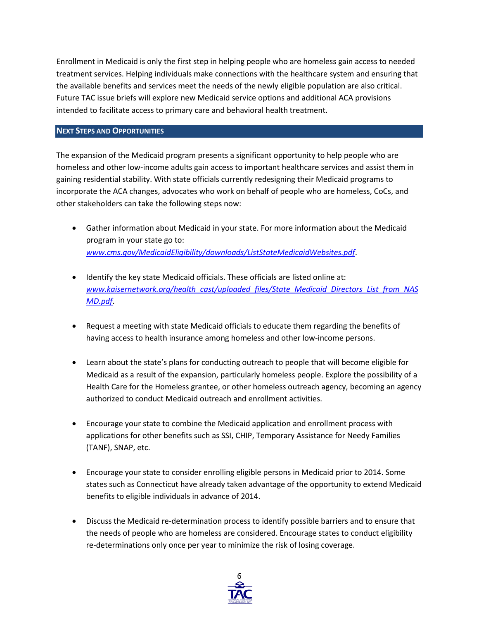Enrollment in Medicaid is only the first step in helping people who are homeless gain access to needed treatment services. Helping individuals make connections with the healthcare system and ensuring that the available benefits and services meet the needs of the newly eligible population are also critical. Future TAC issue briefs will explore new Medicaid service options and additional ACA provisions intended to facilitate access to primary care and behavioral health treatment.

## **NEXT STEPS AND OPPORTUNITIES**

The expansion of the Medicaid program presents a significant opportunity to help people who are homeless and other low-income adults gain access to important healthcare services and assist them in gaining residential stability. With state officials currently redesigning their Medicaid programs to incorporate the ACA changes, advocates who work on behalf of people who are homeless, CoCs, and other stakeholders can take the following steps now:

- Gather information about Medicaid in your state. For more information about the Medicaid program in your state go to: *[www.cms.gov/MedicaidEligibility/downloads/ListStateMedicaidWebsites.pdf](http://www.cms.gov/MedicaidEligibility/downloads/ListStateMedicaidWebsites.pdf)*.
- Identify the key state Medicaid officials. These officials are listed online at: *[www.kaisernetwork.org/health\\_cast/uploaded\\_files/State\\_Medicaid\\_Directors\\_List\\_from\\_NAS](http://www.kaisernetwork.org/health_cast/uploaded_files/State_Medicaid_Directors_List_from_NASMD.pdf) [MD.pdf](http://www.kaisernetwork.org/health_cast/uploaded_files/State_Medicaid_Directors_List_from_NASMD.pdf)*.
- Request a meeting with state Medicaid officials to educate them regarding the benefits of having access to health insurance among homeless and other low-income persons.
- Learn about the state's plans for conducting outreach to people that will become eligible for Medicaid as a result of the expansion, particularly homeless people. Explore the possibility of a Health Care for the Homeless grantee, or other homeless outreach agency, becoming an agency authorized to conduct Medicaid outreach and enrollment activities.
- Encourage your state to combine the Medicaid application and enrollment process with applications for other benefits such as SSI, CHIP, Temporary Assistance for Needy Families (TANF), SNAP, etc.
- Encourage your state to consider enrolling eligible persons in Medicaid prior to 2014. Some states such as Connecticut have already taken advantage of the opportunity to extend Medicaid benefits to eligible individuals in advance of 2014.
- Discuss the Medicaid re-determination process to identify possible barriers and to ensure that the needs of people who are homeless are considered. Encourage states to conduct eligibility re-determinations only once per year to minimize the risk of losing coverage.